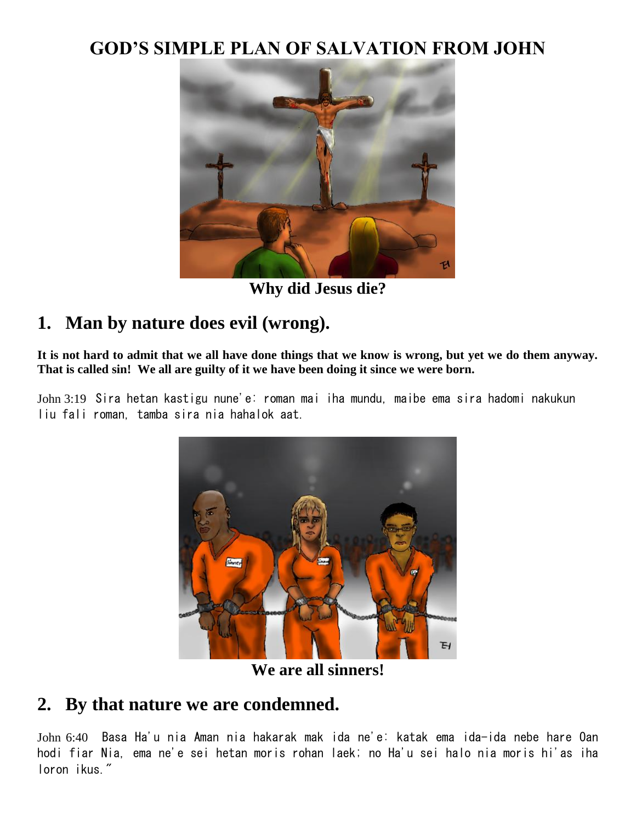# **GOD'S SIMPLE PLAN OF SALVATION FROM JOHN**



**Why did Jesus die?**

# **1. Man by nature does evil (wrong).**

**It is not hard to admit that we all have done things that we know is wrong, but yet we do them anyway. That is called sin! We all are guilty of it we have been doing it since we were born.**

John 3:19 Sira hetan kastigu nune'e: roman mai iha mundu, maibe ema sira hadomi nakukun liu fali roman, tamba sira nia hahalok aat.



**We are all sinners!**

### **2. By that nature we are condemned.**

John 6:40 Basa Ha'u nia Aman nia hakarak mak ida ne'e: katak ema ida-ida nebe hare Oan hodi fiar Nia, ema ne'e sei hetan moris rohan laek; no Ha'u sei halo nia moris hi'as iha loron ikus."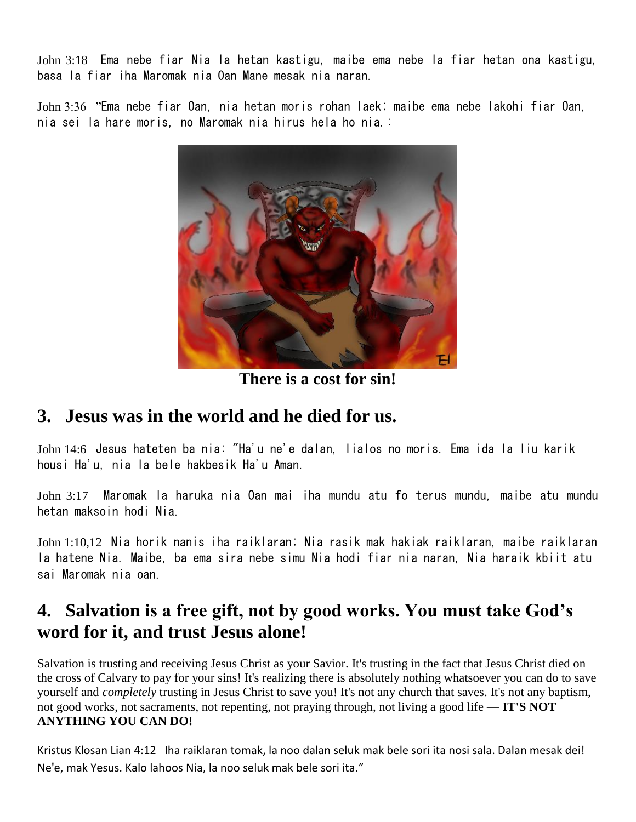John 3:18 Ema nebe fiar Nia la hetan kastigu, maibe ema nebe la fiar hetan ona kastigu, basa la fiar iha Maromak nia Oan Mane mesak nia naran.

John 3:36 "Ema nebe fiar Oan, nia hetan moris rohan laek; maibe ema nebe lakohi fiar Oan, nia sei la hare moris, no Maromak nia hirus hela ho nia.:



**There is a cost for sin!**

#### **3. Jesus was in the world and he died for us.**

John 14:6 Jesus hateten ba nia: "Ha'u ne'e dalan, lialos no moris. Ema ida la liu karik housi Ha'u, nia la bele hakbesik Ha'u Aman.

John 3:17 Maromak la haruka nia Oan mai iha mundu atu fo terus mundu, maibe atu mundu hetan maksoin hodi Nia.

John 1:10,12 Nia horik nanis iha raiklaran; Nia rasik mak hakiak raiklaran, maibe raiklaran la hatene Nia. Maibe, ba ema sira nebe simu Nia hodi fiar nia naran, Nia haraik kbiit atu sai Maromak nia oan.

# **4. Salvation is a free gift, not by good works. You must take God's word for it, and trust Jesus alone!**

Salvation is trusting and receiving Jesus Christ as your Savior. It's trusting in the fact that Jesus Christ died on the cross of Calvary to pay for your sins! It's realizing there is absolutely nothing whatsoever you can do to save yourself and *completely* trusting in Jesus Christ to save you! It's not any church that saves. It's not any baptism, not good works, not sacraments, not repenting, not praying through, not living a good life — **IT'S NOT ANYTHING YOU CAN DO!**

Kristus Klosan Lian 4:12 Iha raiklaran tomak, la noo dalan seluk mak bele sori ita nosi sala. Dalan mesak dei! Ne'e, mak Yesus. Kalo lahoos Nia, la noo seluk mak bele sori ita."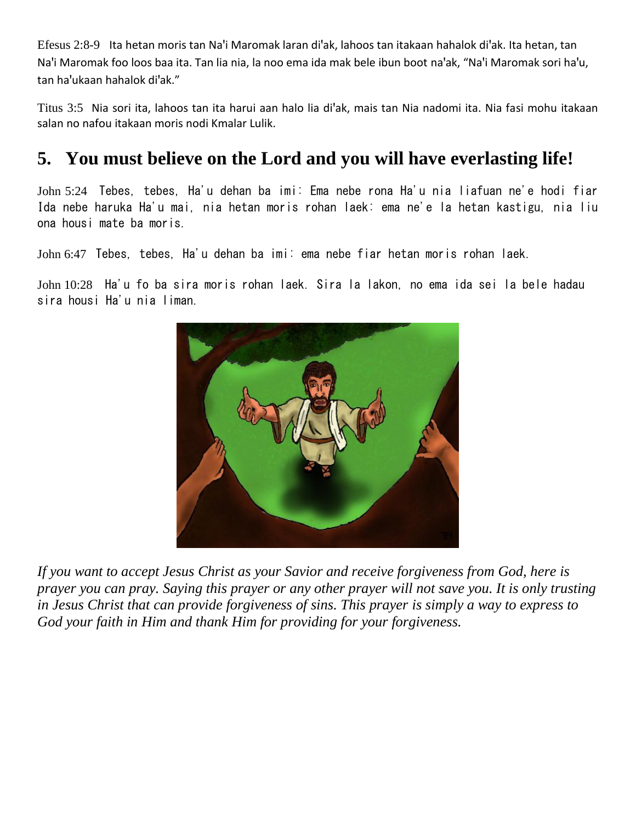Efesus 2:8-9 Ita hetan moris tan Na'i Maromak laran di'ak, lahoos tan itakaan hahalok di'ak. Ita hetan, tan Na'i Maromak foo loos baa ita. Tan lia nia, la noo ema ida mak bele ibun boot na'ak, "Na'i Maromak sori ha'u, tan ha'ukaan hahalok di'ak."

Titus 3:5 Nia sori ita, lahoos tan ita harui aan halo lia di'ak, mais tan Nia nadomi ita. Nia fasi mohu itakaan salan no nafou itakaan moris nodi Kmalar Lulik.

# **5. You must believe on the Lord and you will have everlasting life!**

John 5:24 Tebes, tebes, Ha'u dehan ba imi: Ema nebe rona Ha'u nia liafuan ne'e hodi fiar Ida nebe haruka Ha'u mai, nia hetan moris rohan laek: ema ne'e la hetan kastigu, nia liu ona housi mate ba moris.

John 6:47 Tebes, tebes, Ha'u dehan ba imi: ema nebe fiar hetan moris rohan laek.

John 10:28 Ha'u fo ba sira moris rohan laek. Sira la lakon, no ema ida sei la bele hadau sira housi Ha'u nia liman.



*If you want to accept Jesus Christ as your Savior and receive forgiveness from God, here is prayer you can pray. Saying this prayer or any other prayer will not save you. It is only trusting in Jesus Christ that can provide forgiveness of sins. This prayer is simply a way to express to God your faith in Him and thank Him for providing for your forgiveness.*